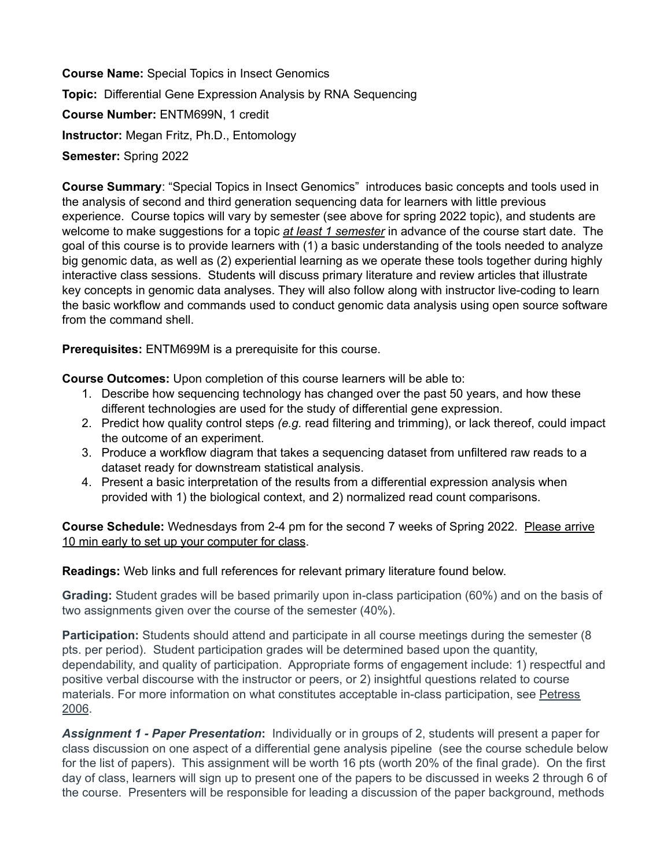**Course Name:** Special Topics in Insect Genomics **Topic:** Differential Gene Expression Analysis by RNA Sequencing **Course Number:** ENTM699N, 1 credit **Instructor:** Megan Fritz, Ph.D., Entomology **Semester:** Spring 2022

**Course Summary**: "Special Topics in Insect Genomics" introduces basic concepts and tools used in the analysis of second and third generation sequencing data for learners with little previous experience. Course topics will vary by semester (see above for spring 2022 topic), and students are welcome to make suggestions for a topic *at least 1 semester* in advance of the course start date. The goal of this course is to provide learners with (1) a basic understanding of the tools needed to analyze big genomic data, as well as (2) experiential learning as we operate these tools together during highly interactive class sessions. Students will discuss primary literature and review articles that illustrate key concepts in genomic data analyses. They will also follow along with instructor live-coding to learn the basic workflow and commands used to conduct genomic data analysis using open source software from the command shell.

**Prerequisites:** ENTM699M is a prerequisite for this course.

**Course Outcomes:** Upon completion of this course learners will be able to:

- 1. Describe how sequencing technology has changed over the past 50 years, and how these different technologies are used for the study of differential gene expression.
- 2. Predict how quality control steps *(e.g.* read filtering and trimming), or lack thereof, could impact the outcome of an experiment.
- 3. Produce a workflow diagram that takes a sequencing dataset from unfiltered raw reads to a dataset ready for downstream statistical analysis.
- 4. Present a basic interpretation of the results from a differential expression analysis when provided with 1) the biological context, and 2) normalized read count comparisons.

**Course Schedule:** Wednesdays from 2-4 pm for the second 7 weeks of Spring 2022. Please arrive 10 min early to set up your computer for class.

**Readings:** Web links and full references for relevant primary literature found below.

**Grading:** Student grades will be based primarily upon in-class participation (60%) and on the basis of two assignments given over the course of the semester (40%).

**Participation:** Students should attend and participate in all course meetings during the semester (8 pts. per period). Student participation grades will be determined based upon the quantity, dependability, and quality of participation. Appropriate forms of engagement include: 1) respectful and positive verbal discourse with the instructor or peers, or 2) insightful questions related to course materials. For more information on what constitutes acceptable in-class participation, see [Petress](https://umd.instructure.com/courses/1319479/files/67359685?wrap=1) [2006](https://umd.instructure.com/courses/1319479/files/67359685?wrap=1).

*Assignment 1 - Paper Presentation***:** Individually or in groups of 2, students will present a paper for class discussion on one aspect of a differential gene analysis pipeline (see the course schedule below for the list of papers). This assignment will be worth 16 pts (worth 20% of the final grade). On the first day of class, learners will sign up to present one of the papers to be discussed in weeks 2 through 6 of the course. Presenters will be responsible for leading a discussion of the paper background, methods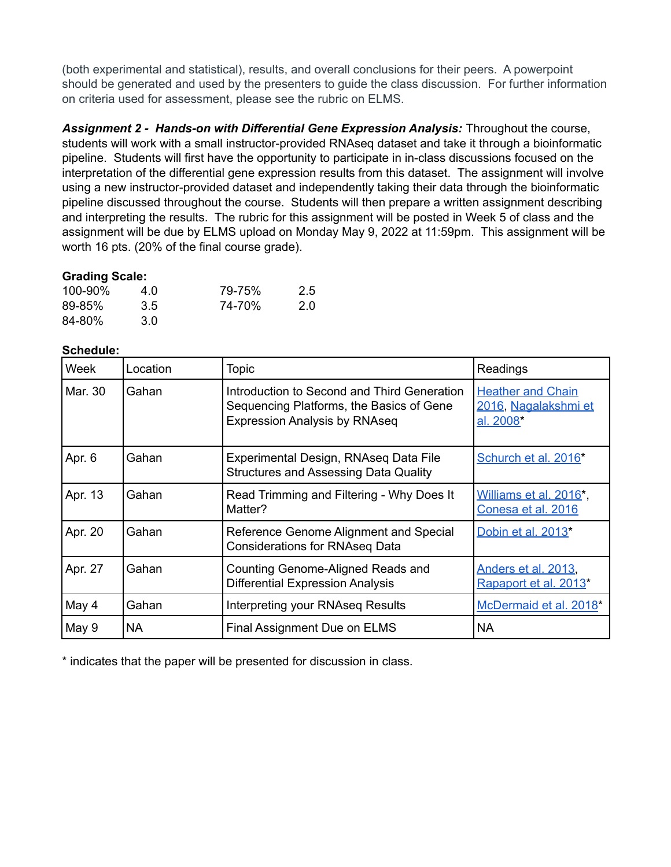(both experimental and statistical), results, and overall conclusions for their peers. A powerpoint should be generated and used by the presenters to guide the class discussion. For further information on criteria used for assessment, please see the rubric on ELMS.

*Assignment 2 - Hands-on with Differential Gene Expression Analysis:* Throughout the course, students will work with a small instructor-provided RNAseq dataset and take it through a bioinformatic pipeline. Students will first have the opportunity to participate in in-class discussions focused on the interpretation of the differential gene expression results from this dataset. The assignment will involve using a new instructor-provided dataset and independently taking their data through the bioinformatic pipeline discussed throughout the course. Students will then prepare a written assignment describing and interpreting the results. The rubric for this assignment will be posted in Week 5 of class and the assignment will be due by ELMS upload on Monday May 9, 2022 at 11:59pm. This assignment will be worth 16 pts. (20% of the final course grade).

## **Grading Scale:**

| 100-90%    | 4.0 | 79-75% | 2.5 |
|------------|-----|--------|-----|
| $89 - 85%$ | 3.5 | 74-70% | 2.0 |
| 84-80%     | 3.0 |        |     |

## **Schedule:**

| Week    | Location | <b>Topic</b>                                                                                                                    | Readings                                                      |
|---------|----------|---------------------------------------------------------------------------------------------------------------------------------|---------------------------------------------------------------|
| Mar. 30 | Gahan    | Introduction to Second and Third Generation<br>Sequencing Platforms, the Basics of Gene<br><b>Expression Analysis by RNAseq</b> | <b>Heather and Chain</b><br>2016, Nagalakshmi et<br>al. 2008* |
| Apr. 6  | Gahan    | Experimental Design, RNAseq Data File<br><b>Structures and Assessing Data Quality</b>                                           | Schurch et al. 2016*                                          |
| Apr. 13 | Gahan    | Read Trimming and Filtering - Why Does It<br>Matter?                                                                            | Williams et al. 2016*,<br>Conesa et al. 2016                  |
| Apr. 20 | Gahan    | Reference Genome Alignment and Special<br><b>Considerations for RNAseq Data</b>                                                 | Dobin et al. 2013*                                            |
| Apr. 27 | Gahan    | Counting Genome-Aligned Reads and<br><b>Differential Expression Analysis</b>                                                    | Anders et al. 2013,<br>Rapaport et al. 2013*                  |
| May 4   | Gahan    | Interpreting your RNAseq Results                                                                                                | McDermaid et al. 2018*                                        |
| May 9   | NA.      | Final Assignment Due on ELMS                                                                                                    | <b>NA</b>                                                     |

\* indicates that the paper will be presented for discussion in class.